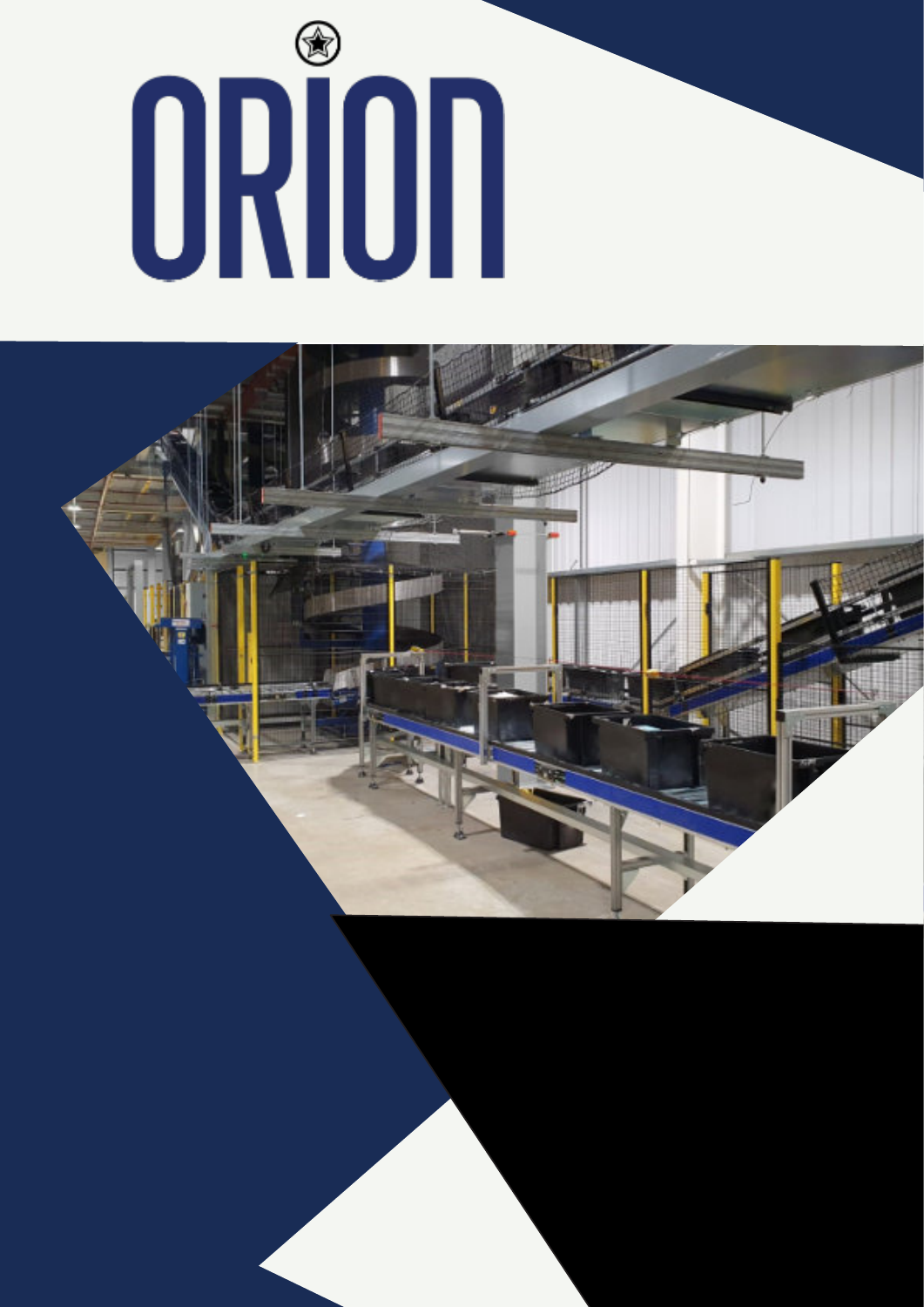# 

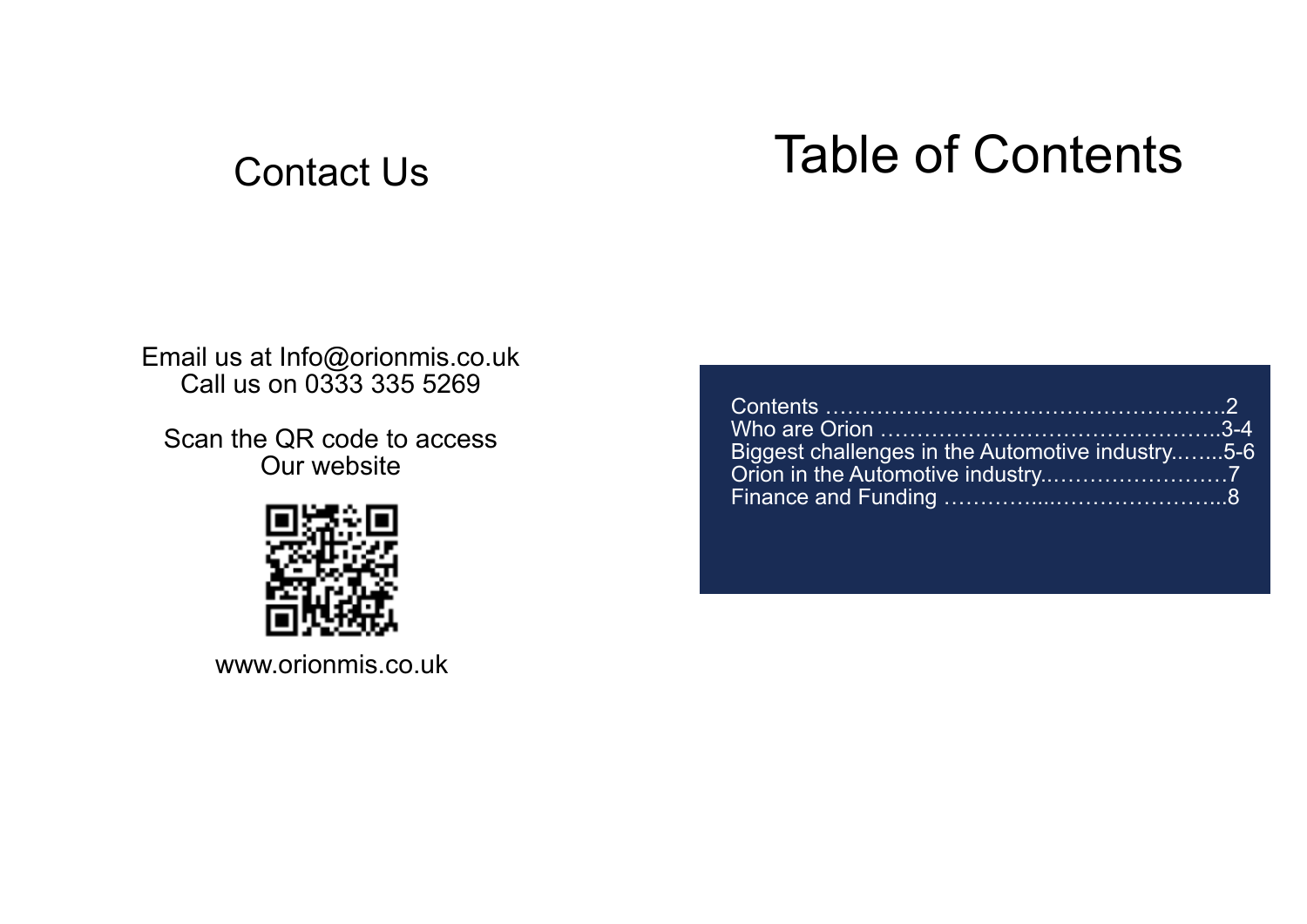# Contact Us Table of Contents

Email us at Info@orionmis.co.uk Call us on 0333 335 5269

Scan the QR code to access Our website





www.orionmis.co.uk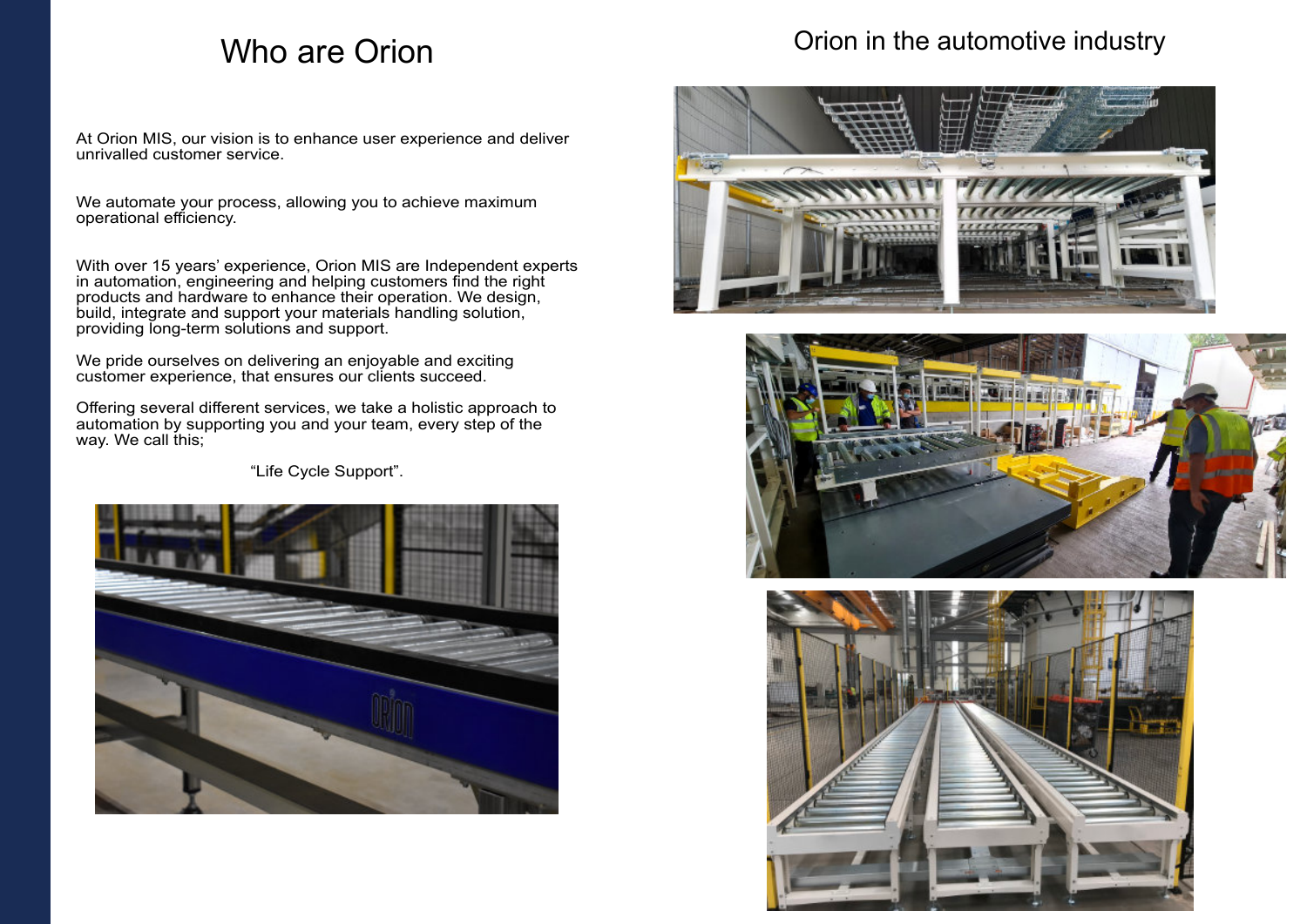## Who are Orion

At Orion MIS, our vision is to enhance user experience and deliver unrivalled customer service.

We automate your process, allowing you to achieve maximum operational efficiency.

Offering several different services, we take a holistic approach to automation by supporting you and your team, every step of the way. We call this;

With over 15 years' experience, Orion MIS are Independent experts in automation, engineering and helping customers find the right products and hardware to enhance their operation. We design, build, integrate and support your materials handling solution, providing long-term solutions and support.

We pride ourselves on delivering an enjoyable and exciting customer experience, that ensures our clients succeed.

"Life Cycle Support".



### Orion in the automotive industry





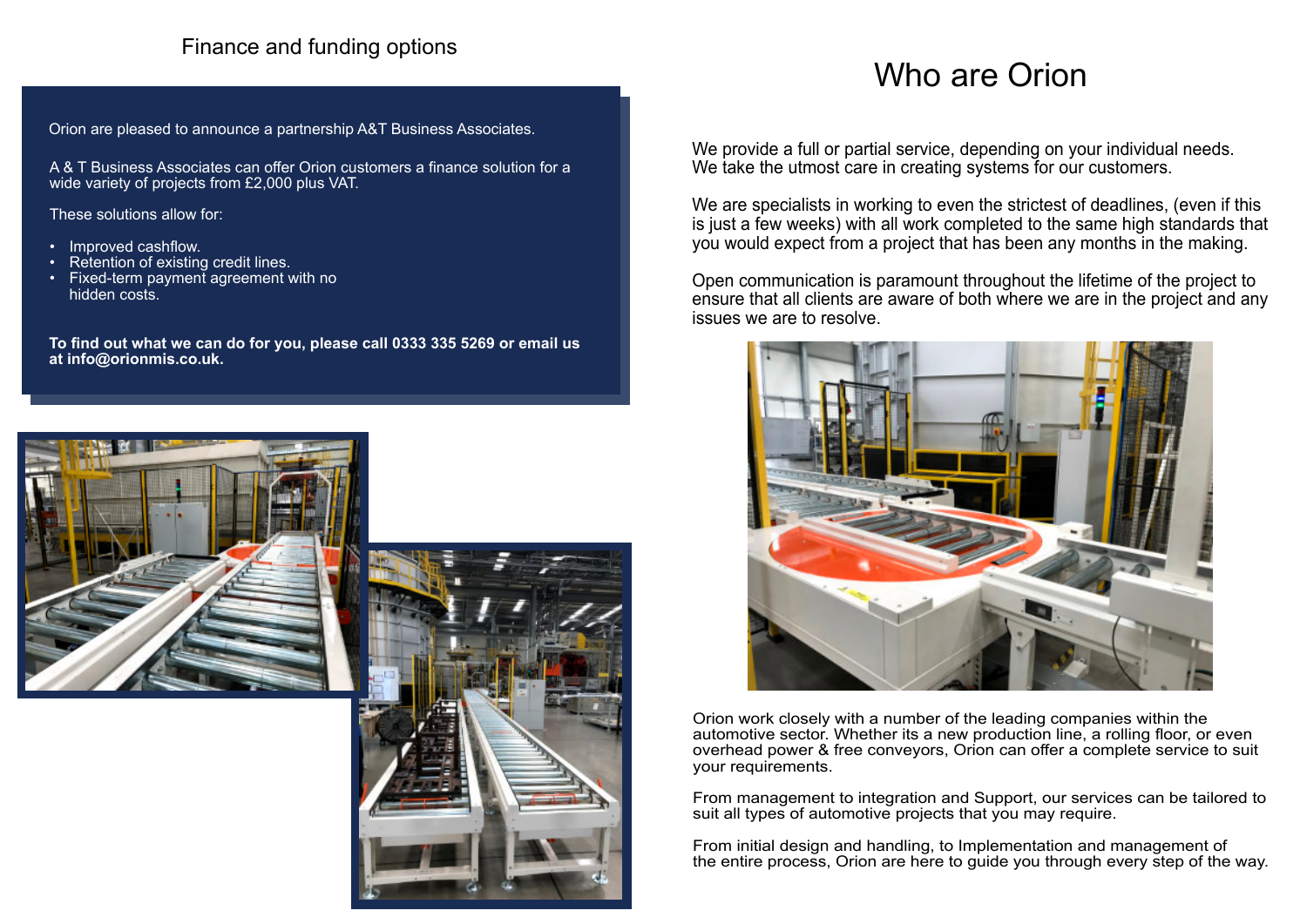# Who are Orion

Orion work closely with a number of the leading companies within the automotive sector. Whether its a new production line, a rolling floor, or even overhead power & free conveyors, Orion can offer a complete service to suit your requirements.

We provide a full or partial service, depending on your individual needs. We take the utmost care in creating systems for our customers.

From management to integration and Support, our services can be tailored to suit all types of automotive projects that you may require.

From initial design and handling, to Implementation and management of the entire process, Orion are here to guide you through every step of the way.

We are specialists in working to even the strictest of deadlines, (even if this is just a few weeks) with all work completed to the same high standards that you would expect from a project that has been any months in the making.

Open communication is paramount throughout the lifetime of the project to ensure that all clients are aware of both where we are in the project and any issues we are to resolve.



#### Finance and funding options

A & T Business Associates can offer Orion customers a finance solution for a wide variety of projects from £2,000 plus VAT.

These solutions allow for:

- Improved cashflow.
- Retention of existing credit lines.
- Fixed-term payment agreement with no hidden costs.

**To find out what we can do for you, please call 0333 335 5269 or email us at info@orionmis.co.uk.**





Orion are pleased to announce a partnership A&T Business Associates.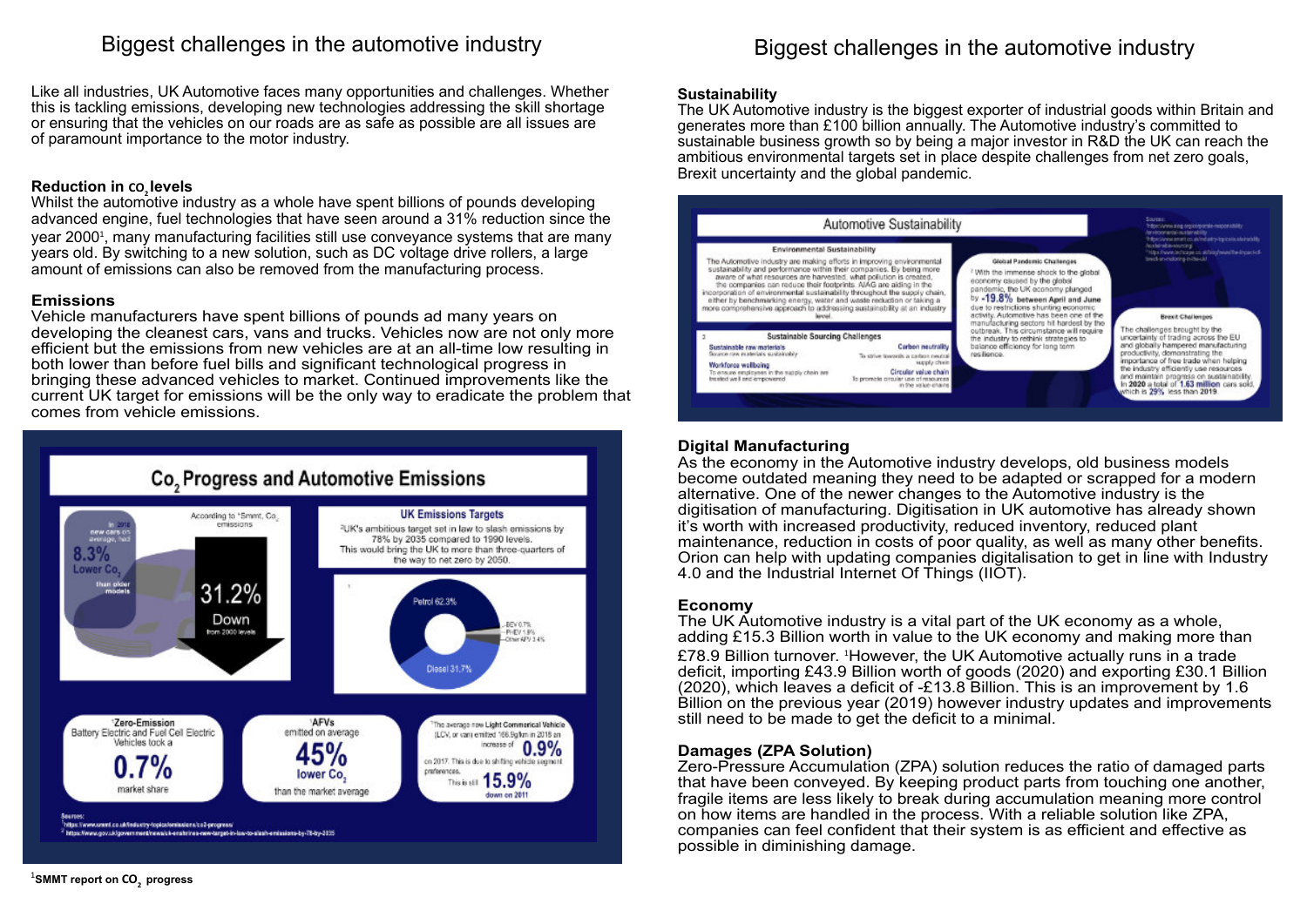#### Biggest challenges in the automotive industry

Like all industries, UK Automotive faces many opportunities and challenges. Whether this is tackling emissions, developing new technologies addressing the skill shortage or ensuring that the vehicles on our roads are as safe as possible are all issues are of paramount importance to the motor industry.

#### **Reduction in CO<sup>2</sup> levels**

Whilst the automotive industry as a whole have spent billions of pounds developing advanced engine, fuel technologies that have seen around a 31% reduction since the year 2000<del>'</del>, many manufacturing facilities still use conveyance systems that are many years old. By switching to a new solution, such as DC voltage drive rollers, a large amount of emissions can also be removed from the manufacturing process.

#### **Emissions**

Vehicle manufacturers have spent billions of pounds ad many years on developing the cleanest cars, vans and trucks. Vehicles now are not only more efficient but the emissions from new vehicles are at an all-time low resulting in both lower than before fuel bills and significant technological progress in bringing these advanced vehicles to market. Continued improvements like the current UK target for emissions will be the only way to eradicate the problem that comes from vehicle emissions.



#### Biggest challenges in the automotive industry

#### **Sustainability**

The UK Automotive industry is the biggest exporter of industrial goods within Britain and generates more than £100 billion annually. The Automotive industry's committed to sustainable business growth so by being a major investor in R&D the UK can reach the ambitious environmental targets set in place despite challenges from net zero goals, Brexit uncertainty and the global pandemic.



#### **Digital Manufacturing**

As the economy in the Automotive industry develops, old business models become outdated meaning they need to be adapted or scrapped for a modern alternative. One of the newer changes to the Automotive industry is the digitisation of manufacturing. Digitisation in UK automotive has already shown it's worth with increased productivity, reduced inventory, reduced plant maintenance, reduction in costs of poor quality, as well as many other benefits. Orion can help with updating companies digitalisation to get in line with Industry 4.0 and the Industrial Internet Of Things (IIOT).

#### **Economy**

The UK Automotive industry is a vital part of the UK economy as a whole, adding £15.3 Billion worth in value to the UK economy and making more than £78.9 Billion turnover. <sup>1</sup>However, the UK Automotive actually runs in a trade deficit, importing £43.9 Billion worth of goods (2020) and exporting £30.1 Billion (2020), which leaves a deficit of -£13.8 Billion. This is an improvement by 1.6 Billion on the previous year (2019) however industry updates and improvements still need to be made to get the deficit to a minimal.

#### **Damages (ZPA Solution)**

Zero-Pressure Accumulation (ZPA) solution reduces the ratio of damaged parts that have been conveyed. By keeping product parts from touching one another, fragile items are less likely to break during accumulation meaning more control on how items are handled in the process. With a reliable solution like ZPA, companies can feel confident that their system is as efficient and effective as possible in diminishing damage.